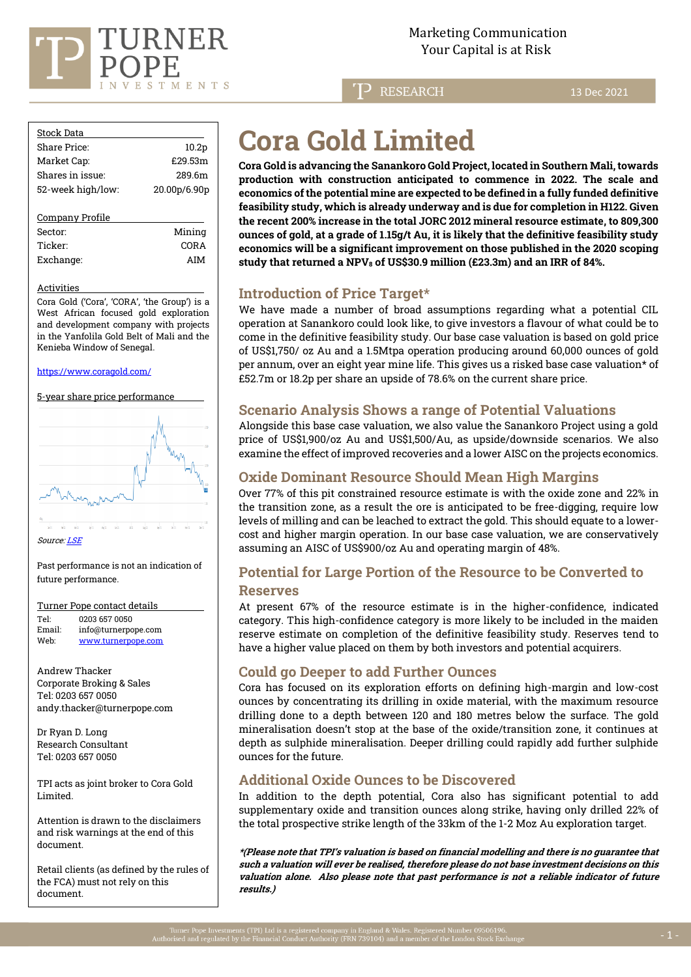

**P** RESEARCH

13 Dec 2021

| <b>Stock Data</b> |                   |
|-------------------|-------------------|
| Share Price:      | 10.2 <sub>p</sub> |
| Market Cap:       | £29.53m           |
| Shares in issue:  | 289 6m            |
| 52-week high/low: | 20.00p/6.90p      |
|                   |                   |
| Company Profile   |                   |
| Sector:           | Minina            |

Ticker: CORA Exchange: AIM

#### Activities

Cora Gold ('Cora', 'CORA', 'the Group') is a West African focused gold exploration and development company with projects in the Yanfolila Gold Belt of Mali and the Kenieba Window of Senegal.

#### <https://www.coragold.com/>

5-year share price performance



Sourc[e: LSE](https://www.londonstockexchange.com/home/homepage.htm)

Past performance is not an indication of future performance.

#### Turner Pope contact details

Tel: [0203](tel:0203) 657 0050<br>Email: info@turnerno [info@turnerpope.com](mailto:info@turnerpope.com) Web: [www.turnerpope.com](http://www.turnerpope.com/)

Andrew Thacker Corporate Broking & Sales Tel: 0203 657 0050 andy.thacker@turnerpope.com

Dr Ryan D. Long Research Consultant Tel: 0203 657 0050

TPI acts as joint broker to Cora Gold Limited.

Attention is drawn to the disclaimers and risk warnings at the end of this document.

Retail clients (as defined by the rules of the FCA) must not rely on this document.

# **Cora Gold Limited**

**Cora Gold is advancing the Sanankoro Gold Project, located in Southern Mali, towards production with construction anticipated to commence in 2022. The scale and economics of the potential mine are expected to be defined in a fully funded definitive feasibility study, which is already underway and is due for completion in H122. Given the recent 200% increase in the total JORC 2012 mineral resource estimate, to 809,300 ounces of gold, at a grade of 1.15g/t Au, it is likely that the definitive feasibility study economics will be a significant improvement on those published in the 2020 scoping study that returned a NPV<sup>8</sup> of US\$30.9 million (£23.3m) and an IRR of 84%.**

# **Introduction of Price Target\***

We have made a number of broad assumptions regarding what a potential CIL operation at Sanankoro could look like, to give investors a flavour of what could be to come in the definitive feasibility study. Our base case valuation is based on gold price of US\$1,750/ oz Au and a 1.5Mtpa operation producing around 60,000 ounces of gold per annum, over an eight year mine life. This gives us a risked base case valuation\* of £52.7m or 18.2p per share an upside of 78.6% on the current share price.

## **Scenario Analysis Shows a range of Potential Valuations**

Alongside this base case valuation, we also value the Sanankoro Project using a gold price of US\$1,900/oz Au and US\$1,500/Au, as upside/downside scenarios. We also examine the effect of improved recoveries and a lower AISC on the projects economics.

# **Oxide Dominant Resource Should Mean High Margins**

Over 77% of this pit constrained resource estimate is with the oxide zone and 22% in the transition zone, as a result the ore is anticipated to be free-digging, require low levels of milling and can be leached to extract the gold. This should equate to a lowercost and higher margin operation. In our base case valuation, we are conservatively assuming an AISC of US\$900/oz Au and operating margin of 48%.

# **Potential for Large Portion of the Resource to be Converted to Reserves**

At present 67% of the resource estimate is in the higher-confidence, indicated category. This high-confidence category is more likely to be included in the maiden reserve estimate on completion of the definitive feasibility study. Reserves tend to have a higher value placed on them by both investors and potential acquirers.

# **Could go Deeper to add Further Ounces**

Cora has focused on its exploration efforts on defining high-margin and low-cost ounces by concentrating its drilling in oxide material, with the maximum resource drilling done to a depth between 120 and 180 metres below the surface. The gold mineralisation doesn't stop at the base of the oxide/transition zone, it continues at depth as sulphide mineralisation. Deeper drilling could rapidly add further sulphide ounces for the future.

# **Additional Oxide Ounces to be Discovered**

In addition to the depth potential, Cora also has significant potential to add supplementary oxide and transition ounces along strike, having only drilled 22% of the total prospective strike length of the 33km of the 1-2 Moz Au exploration target.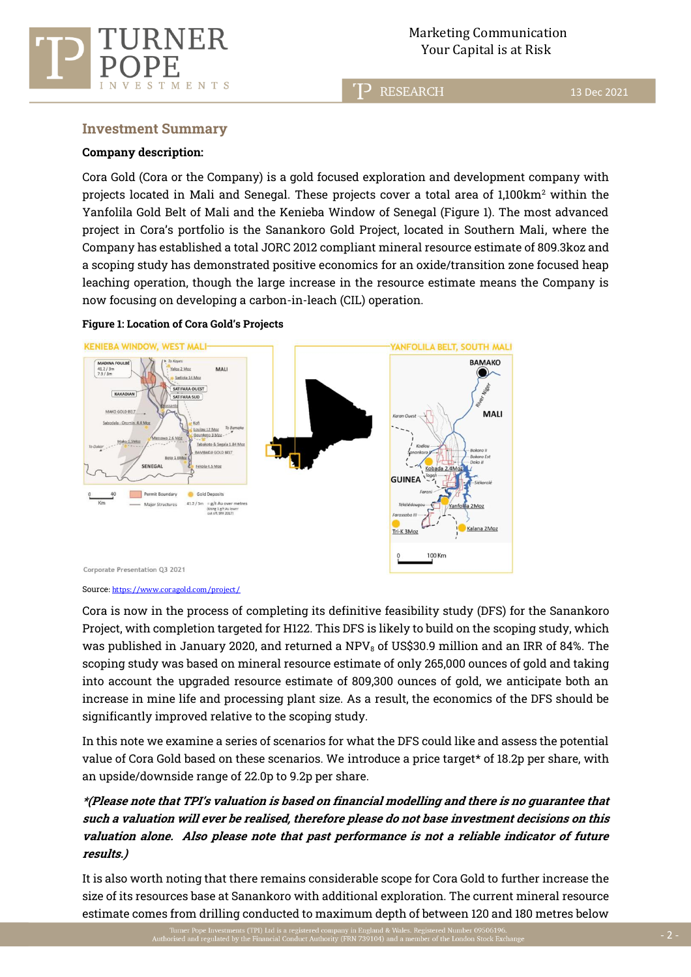

**RESEARCH** 

13 Dec 2021

## **Investment Summary**

TMENTS

#### **Company description:**

 $_{\rm E}$  $\mathcal{S}$ 

Cora Gold (Cora or the Company) is a gold focused exploration and development company with projects located in Mali and Senegal. These projects cover a total area of  $1,100 \text{km}^2$  within the Yanfolila Gold Belt of Mali and the Kenieba Window of Senegal (Figure 1). The most advanced project in Cora's portfolio is the Sanankoro Gold Project, located in Southern Mali, where the Company has established a total JORC 2012 compliant mineral resource estimate of 809.3koz and a scoping study has demonstrated positive economics for an oxide/transition zone focused heap leaching operation, though the large increase in the resource estimate means the Company is now focusing on developing a carbon-in-leach (CIL) operation.



## **Figure 1: Location of Cora Gold's Projects**

#### Source[: https://www.coragold.com/project/](https://www.coragold.com/project/)

Cora is now in the process of completing its definitive feasibility study (DFS) for the Sanankoro Project, with completion targeted for H122. This DFS is likely to build on the scoping study, which was published in January 2020, and returned a NPV $_8$  of US\$30.9 million and an IRR of 84%. The scoping study was based on mineral resource estimate of only 265,000 ounces of gold and taking into account the upgraded resource estimate of 809,300 ounces of gold, we anticipate both an increase in mine life and processing plant size. As a result, the economics of the DFS should be significantly improved relative to the scoping study.

In this note we examine a series of scenarios for what the DFS could like and assess the potential value of Cora Gold based on these scenarios. We introduce a price target\* of 18.2p per share, with an upside/downside range of 22.0p to 9.2p per share.

# **\*(Please note that TPI's valuation is based on financial modelling and there is no guarantee that such a valuation will ever be realised, therefore please do not base investment decisions on this valuation alone. Also please note that past performance is not a reliable indicator of future results.)**

It is also worth noting that there remains considerable scope for Cora Gold to further increase the size of its resources base at Sanankoro with additional exploration. The current mineral resource estimate comes from drilling conducted to maximum depth of between 120 and 180 metres below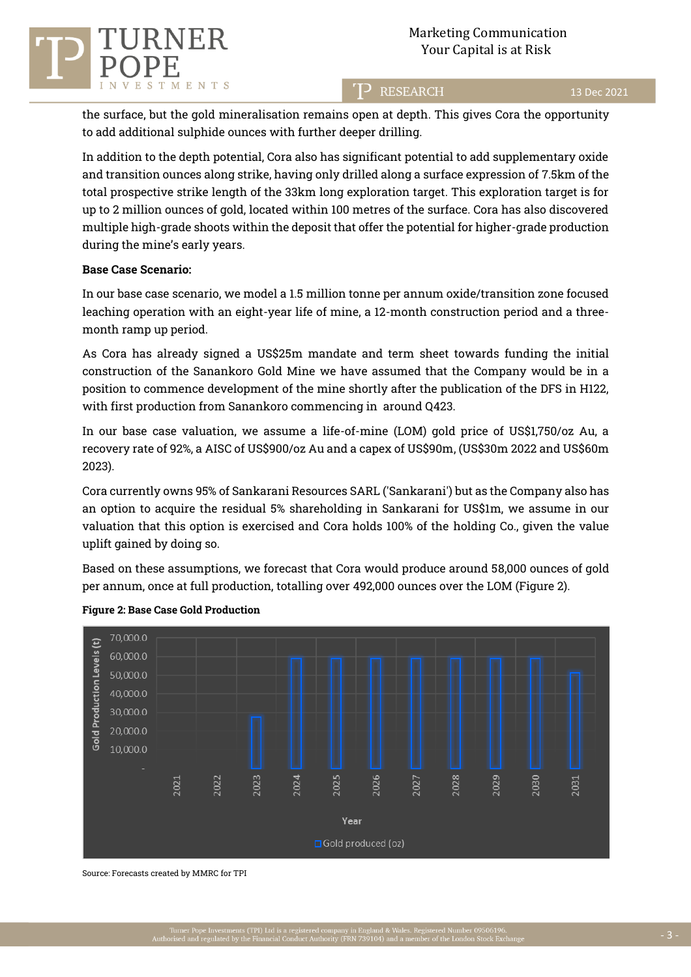

T<sup>2</sup> RESEARCH

the surface, but the gold mineralisation remains open at depth. This gives Cora the opportunity to add additional sulphide ounces with further deeper drilling.

In addition to the depth potential, Cora also has significant potential to add supplementary oxide and transition ounces along strike, having only drilled along a surface expression of 7.5km of the total prospective strike length of the 33km long exploration target. This exploration target is for up to 2 million ounces of gold, located within 100 metres of the surface. Cora has also discovered multiple high-grade shoots within the deposit that offer the potential for higher-grade production during the mine's early years.

#### **Base Case Scenario:**

In our base case scenario, we model a 1.5 million tonne per annum oxide/transition zone focused leaching operation with an eight-year life of mine, a 12-month construction period and a threemonth ramp up period.

As Cora has already signed a US\$25m mandate and term sheet towards funding the initial construction of the Sanankoro Gold Mine we have assumed that the Company would be in a position to commence development of the mine shortly after the publication of the DFS in H122, with first production from Sanankoro commencing in around Q423.

In our base case valuation, we assume a life-of-mine (LOM) gold price of US\$1,750/oz Au, a recovery rate of 92%, a AISC of US\$900/oz Au and a capex of US\$90m, (US\$30m 2022 and US\$60m 2023).

Cora currently owns 95% of Sankarani Resources SARL ('Sankarani') but as the Company also has an option to acquire the residual 5% shareholding in Sankarani for US\$1m, we assume in our valuation that this option is exercised and Cora holds 100% of the holding Co., given the value uplift gained by doing so.

Based on these assumptions, we forecast that Cora would produce around 58,000 ounces of gold per annum, once at full production, totalling over 492,000 ounces over the LOM (Figure 2).



#### **Figure 2: Base Case Gold Production**

Source: Forecasts created by MMRC for TPI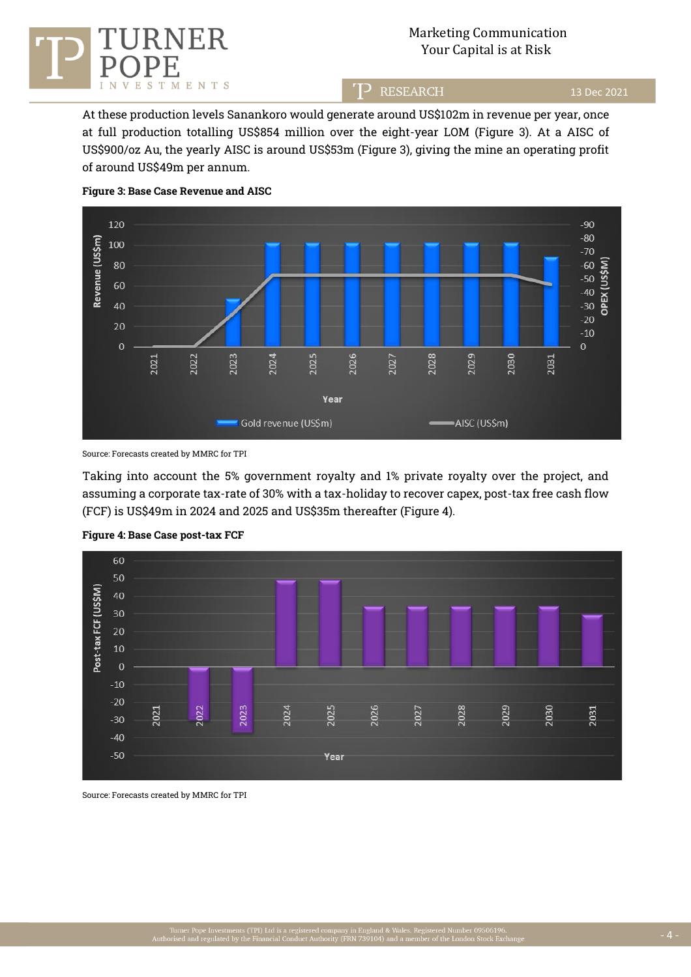

## Marketing Communication ER Marketing Communicati<br>Your Capital is at Risk

TP RESEARCH

13 Dec 2021

At these production levels Sanankoro would generate around US\$102m in revenue per year, once at full production totalling US\$854 million over the eight-year LOM (Figure 3). At a AISC of US\$900/oz Au, the yearly AISC is around US\$53m (Figure 3), giving the mine an operating profit of around US\$49m per annum.



#### **Figure 3: Base Case Revenue and AISC**

Source: Forecasts created by MMRC for TPI

Taking into account the 5% government royalty and 1% private royalty over the project, and assuming a corporate tax-rate of 30% with a tax-holiday to recover capex, post-tax free cash flow (FCF) is US\$49m in 2024 and 2025 and US\$35m thereafter (Figure 4).



#### **Figure 4: Base Case post-tax FCF**

Source: Forecasts created by MMRC for TPI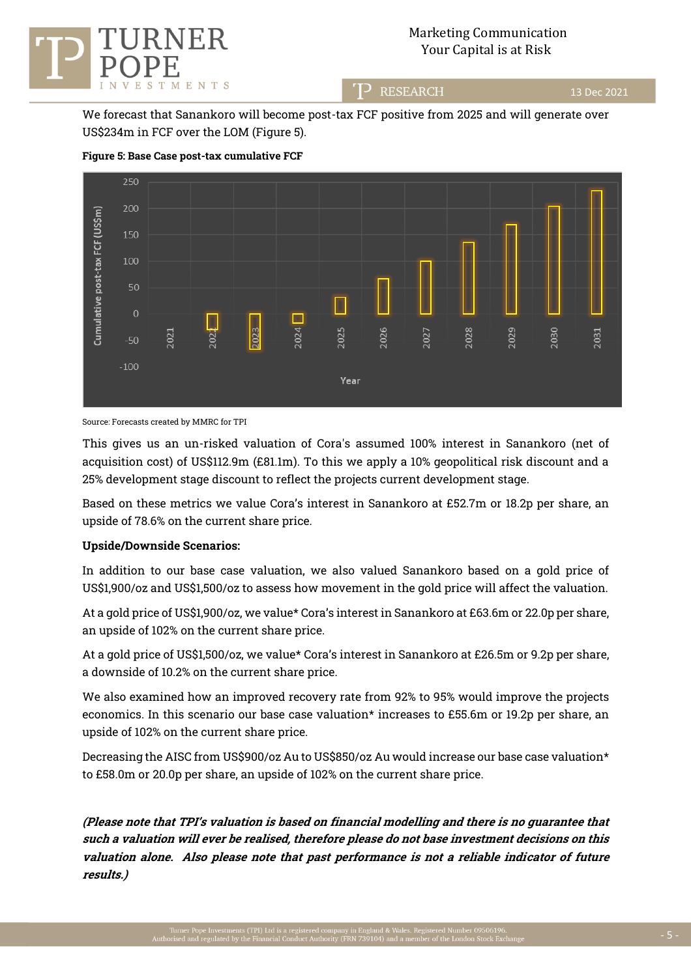

## Marketing Communication Your Capital is at Risk

T<sup>2</sup> RESEARCH

13 Dec 2021

We forecast that Sanankoro will become post-tax FCF positive from 2025 and will generate over US\$234m in FCF over the LOM (Figure 5).



#### **Figure 5: Base Case post-tax cumulative FCF**

Source: Forecasts created by MMRC for TPI

This gives us an un-risked valuation of Cora's assumed 100% interest in Sanankoro (net of acquisition cost) of US\$112.9m (£81.1m). To this we apply a 10% geopolitical risk discount and a 25% development stage discount to reflect the projects current development stage.

Based on these metrics we value Cora's interest in Sanankoro at £52.7m or 18.2p per share, an upside of 78.6% on the current share price.

#### **Upside/Downside Scenarios:**

In addition to our base case valuation, we also valued Sanankoro based on a gold price of US\$1,900/oz and US\$1,500/oz to assess how movement in the gold price will affect the valuation.

At a gold price of US\$1,900/oz, we value\* Cora's interest in Sanankoro at £63.6m or 22.0p per share, an upside of 102% on the current share price.

At a gold price of US\$1,500/oz, we value\* Cora's interest in Sanankoro at £26.5m or 9.2p per share, a downside of 10.2% on the current share price.

We also examined how an improved recovery rate from 92% to 95% would improve the projects economics. In this scenario our base case valuation\* increases to £55.6m or 19.2p per share, an upside of 102% on the current share price.

Decreasing the AISC from US\$900/oz Au to US\$850/oz Au would increase our base case valuation\* to £58.0m or 20.0p per share, an upside of 102% on the current share price.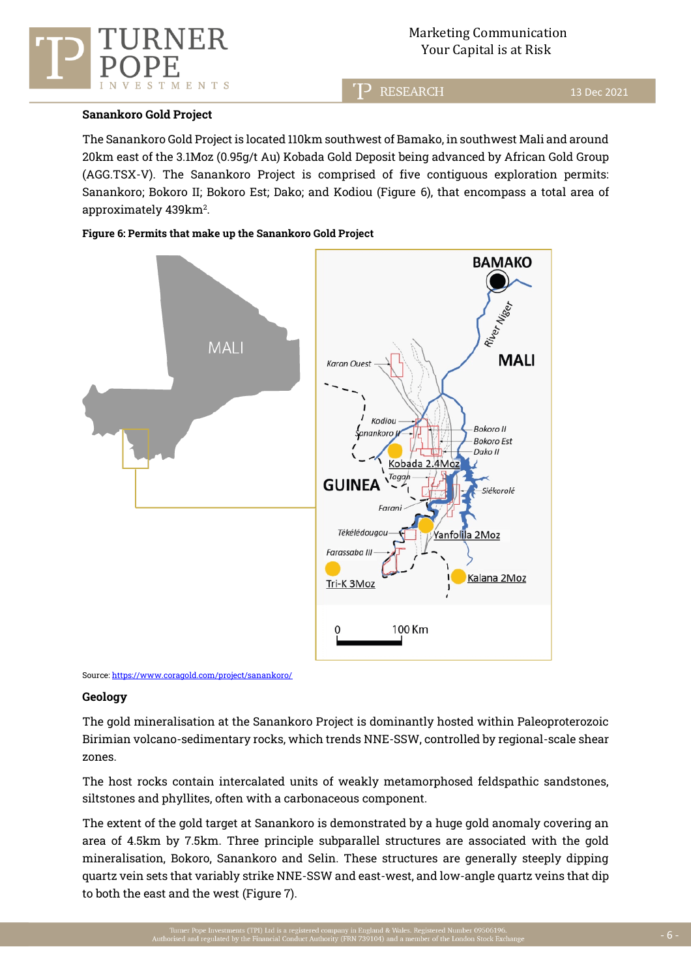

**RESEARCH** 

#### **Sanankoro Gold Project**

TMENTS

 $_{\rm E}$ S

The Sanankoro Gold Project is located 110km southwest of Bamako, in southwest Mali and around 20km east of the 3.1Moz (0.95g/t Au) Kobada Gold Deposit being advanced by African Gold Group (AGG.TSX-V). The Sanankoro Project is comprised of five contiguous exploration permits: Sanankoro; Bokoro II; Bokoro Est; Dako; and Kodiou (Figure 6), that encompass a total area of approximately  $439 \mathrm{km^2}$ .

#### **Figure 6: Permits that make up the Sanankoro Gold Project**





#### **Geology**

The gold mineralisation at the Sanankoro Project is dominantly hosted within Paleoproterozoic Birimian volcano-sedimentary rocks, which trends NNE-SSW, controlled by regional-scale shear zones.

The host rocks contain intercalated units of weakly metamorphosed feldspathic sandstones, siltstones and phyllites, often with a carbonaceous component.

The extent of the gold target at Sanankoro is demonstrated by a huge gold anomaly covering an area of 4.5km by 7.5km. Three principle subparallel structures are associated with the gold mineralisation, Bokoro, Sanankoro and Selin. These structures are generally steeply dipping quartz vein sets that variably strike NNE-SSW and east-west, and low-angle quartz veins that dip to both the east and the west (Figure 7).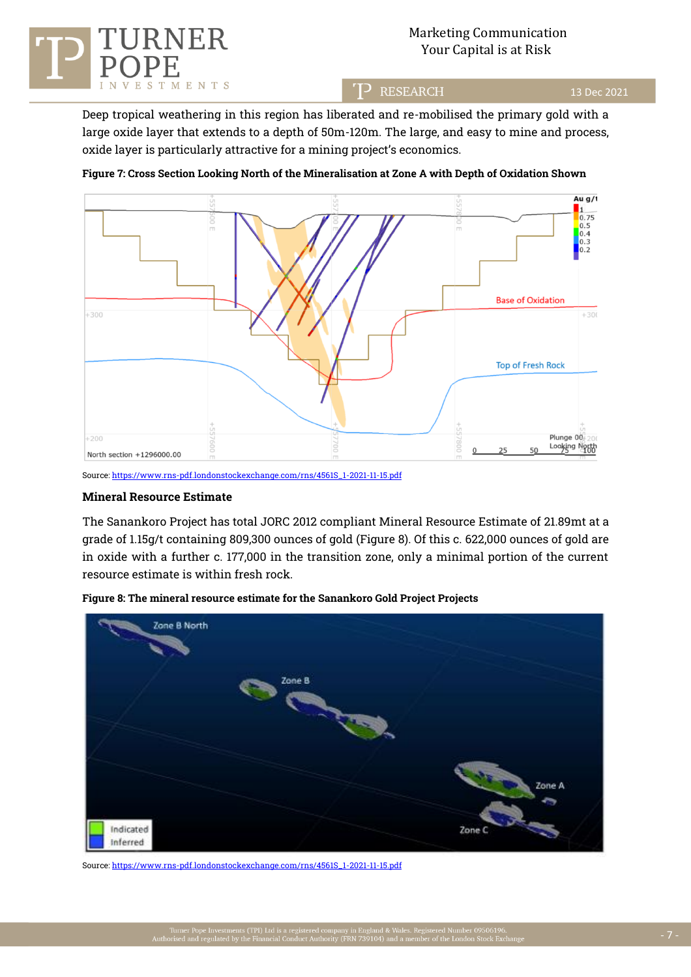

## Marketing Communication RNER Marketing Communicati<br>Your Capital is at Risk

TP RESEARCH

13 Dec 2021

Deep tropical weathering in this region has liberated and re-mobilised the primary gold with a large oxide layer that extends to a depth of 50m-120m. The large, and easy to mine and process, oxide layer is particularly attractive for a mining project's economics.

## **Figure 7: Cross Section Looking North of the Mineralisation at Zone A with Depth of Oxidation Shown**



Source[: https://www.rns-pdf.londonstockexchange.com/rns/4561S\\_1-2021-11-15.pdf](https://www.rns-pdf.londonstockexchange.com/rns/4561S_1-2021-11-15.pdf)

#### **Mineral Resource Estimate**

The Sanankoro Project has total JORC 2012 compliant Mineral Resource Estimate of 21.89mt at a grade of 1.15g/t containing 809,300 ounces of gold (Figure 8). Of this c. 622,000 ounces of gold are in oxide with a further c. 177,000 in the transition zone, only a minimal portion of the current resource estimate is within fresh rock.



**Figure 8: The mineral resource estimate for the Sanankoro Gold Project Projects**

Source[: https://www.rns-pdf.londonstockexchange.com/rns/4561S\\_1-2021-11-15.pdf](https://www.rns-pdf.londonstockexchange.com/rns/4561S_1-2021-11-15.pdf)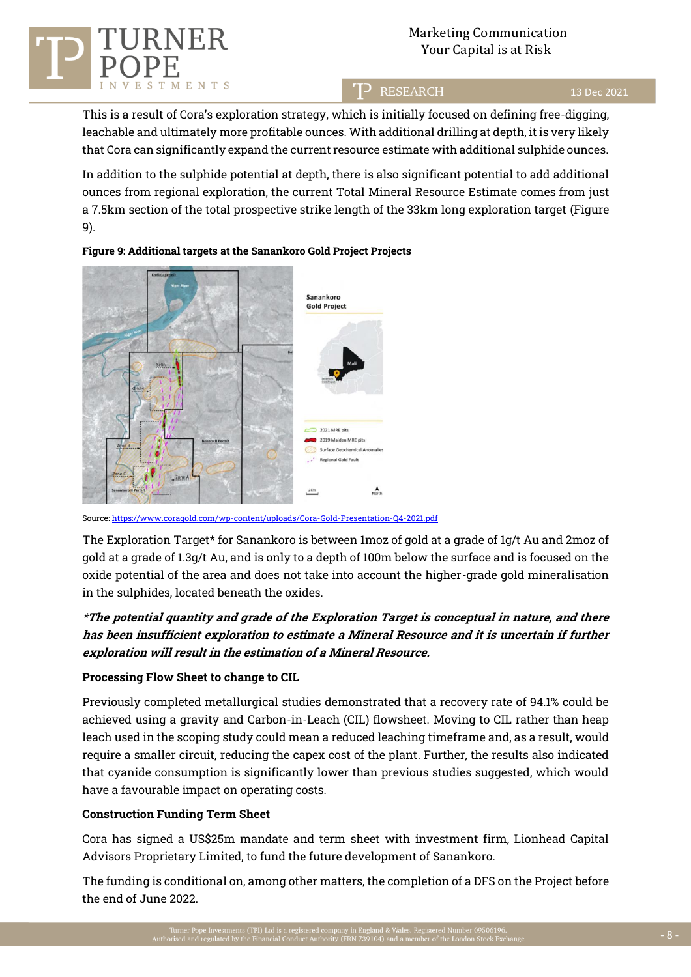

# Marketing Communication Your Capital is at Risk

T<sup>2</sup> RESEARCH

#### 13 Dec 2021

This is a result of Cora's exploration strategy, which is initially focused on defining free-digging, leachable and ultimately more profitable ounces. With additional drilling at depth, it is very likely that Cora can significantly expand the current resource estimate with additional sulphide ounces.

In addition to the sulphide potential at depth, there is also significant potential to add additional ounces from regional exploration, the current Total Mineral Resource Estimate comes from just a 7.5km section of the total prospective strike length of the 33km long exploration target (Figure 9).

## **Figure 9: Additional targets at the Sanankoro Gold Project Projects**



Source: https://www.coragold.com/wp-content/uploads/Cora-Gold-Presentation-Q4-2021.pdf

The Exploration Target\* for Sanankoro is between 1moz of gold at a grade of 1g/t Au and 2moz of gold at a grade of 1.3g/t Au, and is only to a depth of 100m below the surface and is focused on the oxide potential of the area and does not take into account the higher-grade gold mineralisation in the sulphides, located beneath the oxides.

# **\*The potential quantity and grade of the Exploration Target is conceptual in nature, and there has been insufficient exploration to estimate a Mineral Resource and it is uncertain if further exploration will result in the estimation of a Mineral Resource.**

## **Processing Flow Sheet to change to CIL**

Previously completed metallurgical studies demonstrated that a recovery rate of 94.1% could be achieved using a gravity and Carbon-in-Leach (CIL) flowsheet. Moving to CIL rather than heap leach used in the scoping study could mean a reduced leaching timeframe and, as a result, would require a smaller circuit, reducing the capex cost of the plant. Further, the results also indicated that cyanide consumption is significantly lower than previous studies suggested, which would have a favourable impact on operating costs.

#### **Construction Funding Term Sheet**

Cora has signed a US\$25m mandate and term sheet with investment firm, Lionhead Capital Advisors Proprietary Limited, to fund the future development of Sanankoro.

The funding is conditional on, among other matters, the completion of a DFS on the Project before the end of June 2022.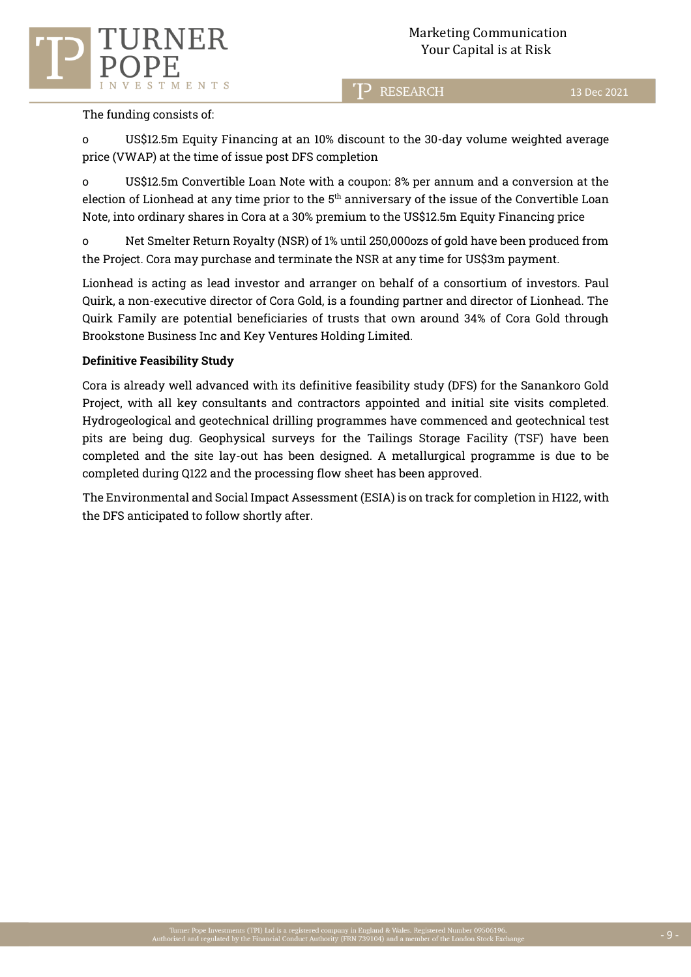

**RESEARCH** 

13 Dec 2021

## The funding consists of:

o US\$12.5m Equity Financing at an 10% discount to the 30-day volume weighted average price (VWAP) at the time of issue post DFS completion

o US\$12.5m Convertible Loan Note with a coupon: 8% per annum and a conversion at the election of Lionhead at any time prior to the 5<sup>th</sup> anniversary of the issue of the Convertible Loan  $\,$ Note, into ordinary shares in Cora at a 30% premium to the US\$12.5m Equity Financing price

o Net Smelter Return Royalty (NSR) of 1% until 250,000ozs of gold have been produced from the Project. Cora may purchase and terminate the NSR at any time for US\$3m payment.

Lionhead is acting as lead investor and arranger on behalf of a consortium of investors. Paul Quirk, a non-executive director of Cora Gold, is a founding partner and director of Lionhead. The Quirk Family are potential beneficiaries of trusts that own around 34% of Cora Gold through Brookstone Business Inc and Key Ventures Holding Limited.

## **Definitive Feasibility Study**

Cora is already well advanced with its definitive feasibility study (DFS) for the Sanankoro Gold Project, with all key consultants and contractors appointed and initial site visits completed. Hydrogeological and geotechnical drilling programmes have commenced and geotechnical test pits are being dug. Geophysical surveys for the Tailings Storage Facility (TSF) have been completed and the site lay-out has been designed. A metallurgical programme is due to be completed during Q122 and the processing flow sheet has been approved.

The Environmental and Social Impact Assessment (ESIA) is on track for completion in H122, with the DFS anticipated to follow shortly after.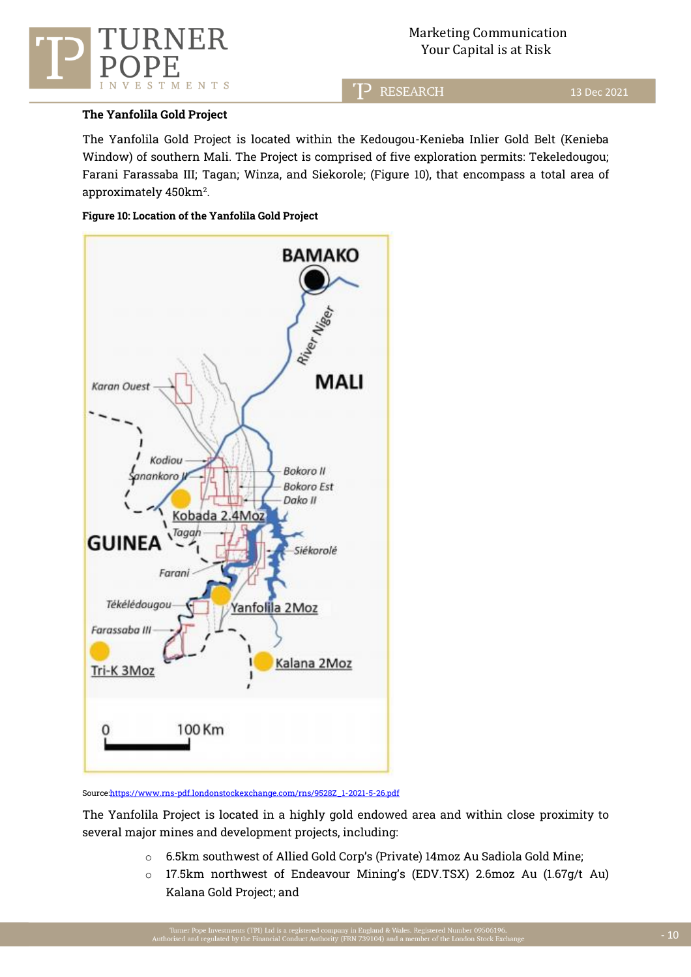

**RESEARCH** כדי

## **The Yanfolila Gold Project**

The Yanfolila Gold Project is located within the Kedougou-Kenieba Inlier Gold Belt (Kenieba Window) of southern Mali. The Project is comprised of five exploration permits: Tekeledougou; Farani Farassaba III; Tagan; Winza, and Siekorole; (Figure 10), that encompass a total area of approximately  $450 \mathrm{km^2}$ .

#### **Figure 10: Location of the Yanfolila Gold Project**



Source:https://www.rns-pdf.londonstockexchange.com/rns/9528Z\_1-2021-5-26.pdf

The Yanfolila Project is located in a highly gold endowed area and within close proximity to several major mines and development projects, including:

- o 6.5km southwest of Allied Gold Corp's (Private) 14moz Au Sadiola Gold Mine;
- o 17.5km northwest of Endeavour Mining's (EDV.TSX) 2.6moz Au (1.67g/t Au) Kalana Gold Project; and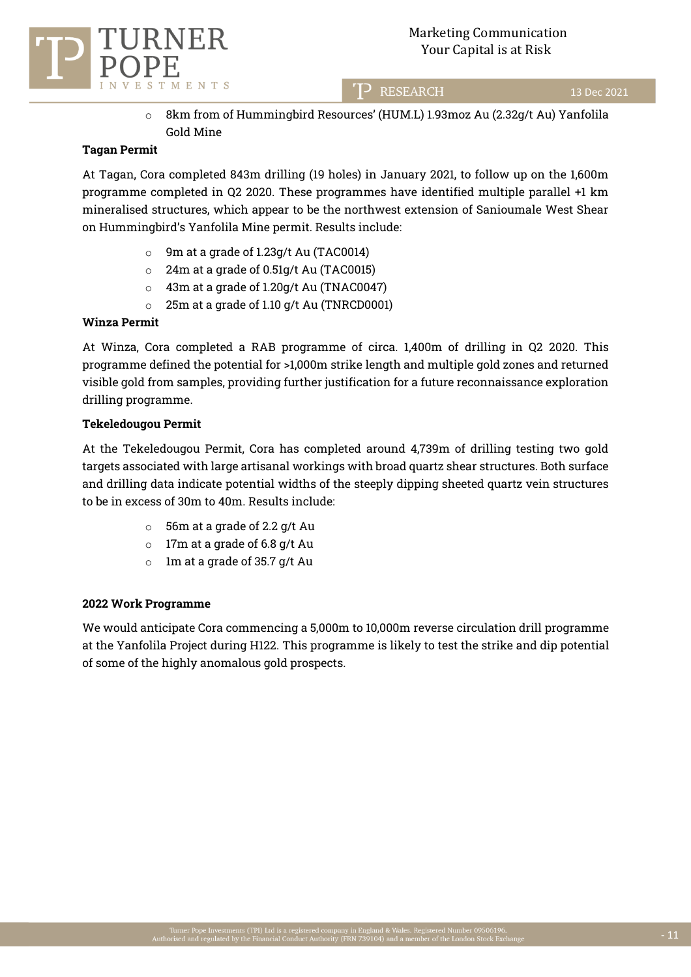13 Dec 2021



o 8km from of Hummingbird Resources' (HUM.L) 1.93moz Au (2.32g/t Au) Yanfolila Gold Mine

T<sup>2</sup> RESEARCH

## **Tagan Permit**

At Tagan, Cora completed 843m drilling (19 holes) in January 2021, to follow up on the 1,600m programme completed in Q2 2020. These programmes have identified multiple parallel +1 km mineralised structures, which appear to be the northwest extension of Sanioumale West Shear on Hummingbird's Yanfolila Mine permit. Results include:

- o 9m at a grade of 1.23g/t Au (TAC0014)
- o 24m at a grade of 0.51g/t Au (TAC0015)
- o 43m at a grade of 1.20g/t Au (TNAC0047)
- o 25m at a grade of 1.10 g/t Au (TNRCD0001)

#### **Winza Permit**

At Winza, Cora completed a RAB programme of circa. 1,400m of drilling in Q2 2020. This programme defined the potential for >1,000m strike length and multiple gold zones and returned visible gold from samples, providing further justification for a future reconnaissance exploration drilling programme.

#### **Tekeledougou Permit**

At the Tekeledougou Permit, Cora has completed around 4,739m of drilling testing two gold targets associated with large artisanal workings with broad quartz shear structures. Both surface and drilling data indicate potential widths of the steeply dipping sheeted quartz vein structures to be in excess of 30m to 40m. Results include:

- o 56m at a grade of 2.2 g/t Au
- o 17m at a grade of 6.8 g/t Au
- o 1m at a grade of 35.7 g/t Au

## **2022 Work Programme**

We would anticipate Cora commencing a 5,000m to 10,000m reverse circulation drill programme at the Yanfolila Project during H122. This programme is likely to test the strike and dip potential of some of the highly anomalous gold prospects.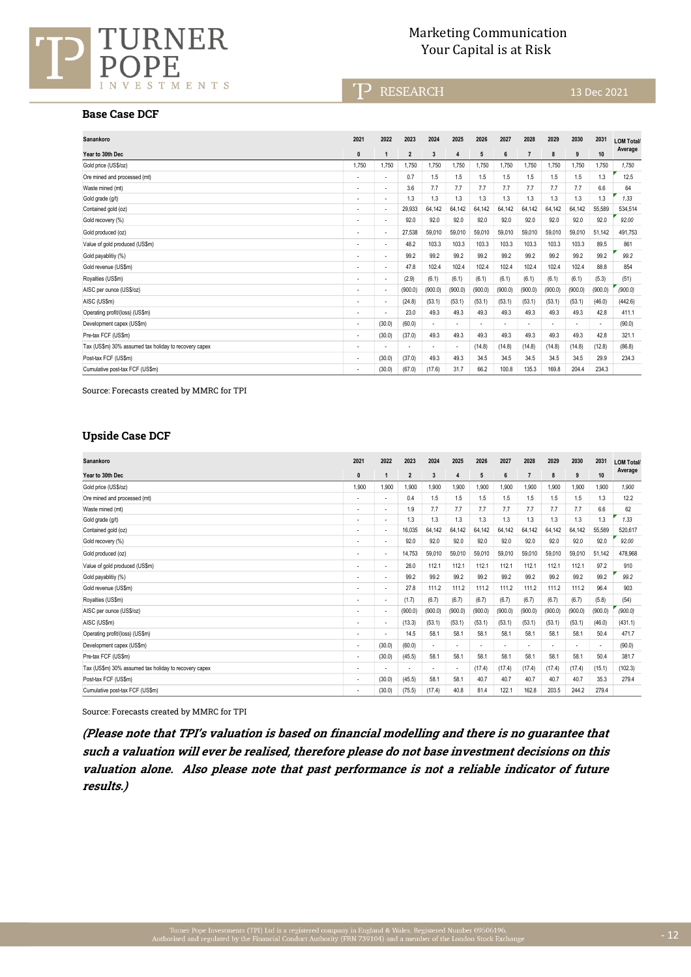

## Marketing Communication URNER Marketing Communication<br>Your Capital is at Risk

T<sup>></sup> RESEARCH

#### **Base Case DCF**

| Sanankoro                                             | 2021                     | 2022                     | 2023                     | 2024                     | 2025           | 2026                     | 2027                     | 2028           | 2029    | 2030                     | 2031                     | <b>LOM Total/</b> |
|-------------------------------------------------------|--------------------------|--------------------------|--------------------------|--------------------------|----------------|--------------------------|--------------------------|----------------|---------|--------------------------|--------------------------|-------------------|
| Year to 30th Dec                                      | $\mathbf{0}$             | $\mathbf{1}$             | $\overline{2}$           | $\overline{3}$           | $\overline{4}$ | 5                        | 6                        | $\overline{7}$ | 8       | 9                        | 10                       | Average           |
| Gold price (US\$/oz)                                  | 1.750                    | 1.750                    | 1,750                    | 1.750                    | 1,750          | 1,750                    | 1,750                    | 1,750          | 1,750   | 1,750                    | 1,750                    | 1.750             |
| Ore mined and processed (mt)                          | $\overline{\phantom{a}}$ | ٠                        | 0.7                      | 1.5                      | 1.5            | 1.5                      | 1.5                      | 1.5            | 1.5     | 1.5                      | 1.3                      | 12.5              |
| Waste mined (mt)                                      | ٠                        | ٠                        | 3.6                      | 7.7                      | 7.7            | 7.7                      | 7.7                      | 7.7            | 7.7     | 7.7                      | 6.6                      | 64                |
| Gold grade (g/t)                                      | ٠                        | ٠                        | 1.3                      | 1.3                      | 1.3            | 1.3                      | 1.3                      | 1.3            | 1.3     | 1.3                      | 1.3                      | 1.33              |
| Contained gold (oz)                                   | ٠                        | ٠                        | 29,933                   | 64.142                   | 64,142         | 64,142                   | 64,142                   | 64,142         | 64.142  | 64,142                   | 55,589                   | 534.514           |
| Gold recovery (%)                                     | ٠                        | ٠                        | 92.0                     | 92.0                     | 92.0           | 92.0                     | 92.0                     | 92.0           | 92.0    | 92.0                     | 92.0                     | 92.00             |
| Gold produced (oz)                                    |                          | ٠                        | 27.538                   | 59.010                   | 59.010         | 59.010                   | 59.010                   | 59,010         | 59.010  | 59.010                   | 51.142                   | 491.753           |
| Value of gold produced (US\$m)                        | ٠                        | $\overline{\phantom{a}}$ | 48.2                     | 103.3                    | 103.3          | 103.3                    | 103.3                    | 103.3          | 103.3   | 103.3                    | 89.5                     | 861               |
| Gold payablitiy (%)                                   | ٠                        | ٠                        | 99.2                     | 99.2                     | 99.2           | 99.2                     | 99.2                     | 99.2           | 99.2    | 99.2                     | 99.2                     | 99.2              |
| Gold revenue (US\$m)                                  | ٠                        | ٠                        | 47.8                     | 102.4                    | 102.4          | 102.4                    | 102.4                    | 102.4          | 102.4   | 102.4                    | 88.8                     | 854               |
| Royalties (US\$m)                                     | ٠                        | ٠                        | (2.9)                    | (6.1)                    | (6.1)          | (6.1)                    | (6.1)                    | (6.1)          | (6.1)   | (6.1)                    | (5.3)                    | (51)              |
| AISC per ounce (US\$/oz)                              | $\overline{\phantom{a}}$ | ٠                        | (900.0)                  | (900.0)                  | (900.0)        | (900.0)                  | (900.0)                  | (900.0)        | (900.0) | (900.0)                  | (900.0)                  | (900.0)           |
| AISC (US\$m)                                          |                          | ٠                        | (24.8)                   | (53.1)                   | (53.1)         | (53.1)                   | (53.1)                   | (53.1)         | (53.1)  | (53.1)                   | (46.0)                   | (442.6)           |
| Operating profit/(loss) (US\$m)                       | ٠                        | ÷                        | 23.0                     | 49.3                     | 49.3           | 49.3                     | 49.3                     | 49.3           | 49.3    | 49.3                     | 42.8                     | 411.1             |
| Development capex (US\$m)                             | $\overline{\phantom{a}}$ | (30.0)                   | (60.0)                   | $\blacksquare$           | ٠              | $\overline{\phantom{a}}$ | $\overline{\phantom{a}}$ | ٠              | ٠       | $\overline{\phantom{0}}$ | $\overline{\phantom{a}}$ | (90.0)            |
| Pre-tax FCF (US\$m)                                   | $\overline{\phantom{a}}$ | (30.0)                   | (37.0)                   | 49.3                     | 49.3           | 49.3                     | 49.3                     | 49.3           | 49.3    | 49.3                     | 42.8                     | 321.1             |
| Tax (US\$m) 30% assumed tax holiday to recovery capex | ٠                        | ٠                        | $\overline{\phantom{0}}$ | $\overline{\phantom{a}}$ | ٠              | (14.8)                   | (14.8)                   | (14.8)         | (14.8)  | (14.8)                   | (12.8)                   | (86.8)            |
| Post-tax FCF (US\$m)                                  | $\overline{\phantom{a}}$ | (30.0)                   | (37.0)                   | 49.3                     | 49.3           | 34.5                     | 34.5                     | 34.5           | 34.5    | 34.5                     | 29.9                     | 234.3             |
| Cumulative post-tax FCF (US\$m)                       | ٠                        | (30.0)                   | (67.0)                   | (17.6)                   | 31.7           | 66.2                     | 100.8                    | 135.3          | 169.8   | 204.4                    | 234.3                    |                   |

Source: Forecasts created by MMRC for TPI

#### **Upside Case DCF**

| Sanankoro                                             | 2021                     | 2022                     | 2023           | 2024    | 2025                     | 2026           | 2027    | 2028           | 2029    | 2030           | 2031           | <b>LOM Total/</b> |
|-------------------------------------------------------|--------------------------|--------------------------|----------------|---------|--------------------------|----------------|---------|----------------|---------|----------------|----------------|-------------------|
| Year to 30th Dec                                      | $\mathbf{0}$             | $\overline{1}$           | $\overline{2}$ | 3       | 4                        | 5              | 6       | $\overline{7}$ | 8       | 9              | 10             | Average           |
| Gold price (US\$/oz)                                  | 1,900                    | 1,900                    | 1,900          | .900    | 1,900                    | 1,900          | 1,900   | 1,900          | 1,900   | 1,900          | 1,900          | 1.900             |
| Ore mined and processed (mt)                          |                          | ٠                        | 0.4            | 1.5     | 1.5                      | 1.5            | 1.5     | 1.5            | 1.5     | 1.5            | 1.3            | 12.2              |
| Waste mined (mt)                                      | $\overline{\phantom{a}}$ | ٠                        | 1.9            | 7.7     | 7.7                      | 7.7            | 7.7     | 7.7            | 7.7     | 7.7            | 6.6            | 62                |
| Gold grade (g/t)                                      | $\overline{\phantom{a}}$ | ٠                        | 1.3            | 1.3     | 1.3                      | 1.3            | 1.3     | 1.3            | 1.3     | 1.3            | 1.3            | 1.33              |
| Contained gold (oz)                                   |                          | ٠                        | 16.035         | 64.142  | 64.142                   | 64.142         | 64.142  | 64.142         | 64.142  | 64.142         | 55.589         | 520.617           |
| Gold recovery (%)                                     |                          | ٠                        | 92.0           | 92.0    | 92.0                     | 92.0           | 92.0    | 92.0           | 92.0    | 92.0           | 92.0           | 92.00             |
| Gold produced (oz)                                    | $\overline{\phantom{a}}$ | ٠                        | 14,753         | 59,010  | 59,010                   | 59,010         | 59,010  | 59,010         | 59,010  | 59,010         | 51.142         | 478.968           |
| Value of gold produced (US\$m)                        | $\overline{\phantom{a}}$ | ٠                        | 28.0           | 112.1   | 112.1                    | 112.1          | 112.1   | 112.1          | 112.1   | 112.1          | 97.2           | 910               |
| Gold payablitiy (%)                                   |                          | ÷                        | 99.2           | 99.2    | 99.2                     | 99.2           | 99.2    | 99.2           | 99.2    | 99.2           | 99.2           | 99.2              |
| Gold revenue (US\$m)                                  | $\overline{\phantom{a}}$ | ٠                        | 27.8           | 111.2   | 111.2                    | 111.2          | 111.2   | 111.2          | 111.2   | 111.2          | 96.4           | 903               |
| Royalties (US\$m)                                     |                          | ٠                        | (1.7)          | (6.7)   | (6.7)                    | (6.7)          | (6.7)   | (6.7)          | (6.7)   | (6.7)          | (5.8)          | (54)              |
| AISC per ounce (US\$/oz)                              | $\overline{\phantom{a}}$ | $\overline{\phantom{a}}$ | (900.0)        | (900.0) | (900.0)                  | (900.0)        | (900.0) | (900.0)        | (900.0) | (900.0)        | (900.0)        | (900.0)           |
| AISC (US\$m)                                          | $\overline{\phantom{a}}$ | ٠                        | (13.3)         | (53.1)  | (53.1)                   | (53.1)         | (53.1)  | (53.1)         | (53.1)  | (53.1)         | (46.0)         | (431.1)           |
| Operating profit/(loss) (US\$m)                       | $\overline{\phantom{0}}$ | ٠                        | 14.5           | 58.1    | 58.1                     | 58.1           | 58.1    | 58.1           | 58.1    | 58.1           | 50.4           | 471.7             |
| Development capex (US\$m)                             | $\overline{\phantom{a}}$ | (30.0)                   | (60.0)         |         | $\overline{\phantom{a}}$ | $\overline{a}$ | ٠       |                |         | $\overline{a}$ | $\overline{a}$ | (90.0)            |
| Pre-tax FCF (US\$m)                                   | $\overline{\phantom{a}}$ | (30.0)                   | (45.5)         | 58.1    | 58.1                     | 58.1           | 58.1    | 58.1           | 58.1    | 58.1           | 50.4           | 381.7             |
| Tax (US\$m) 30% assumed tax holiday to recovery capex | $\overline{\phantom{a}}$ | ٠                        |                |         | $\overline{\phantom{a}}$ | (17.4)         | (17.4)  | (17.4)         | (17.4)  | (17.4)         | (15.1)         | (102.3)           |
| Post-tax FCF (US\$m)                                  | $\overline{\phantom{a}}$ | (30.0)                   | (45.5)         | 58.1    | 58.1                     | 40.7           | 40.7    | 40.7           | 40.7    | 40.7           | 35.3           | 279.4             |
| Cumulative post-tax FCF (US\$m)                       |                          | (30.0)                   | (75.5)         | (17.4)  | 40.8                     | 81.4           | 122.1   | 162.8          | 203.5   | 244.2          | 279.4          |                   |

Source: Forecasts created by MMRC for TPI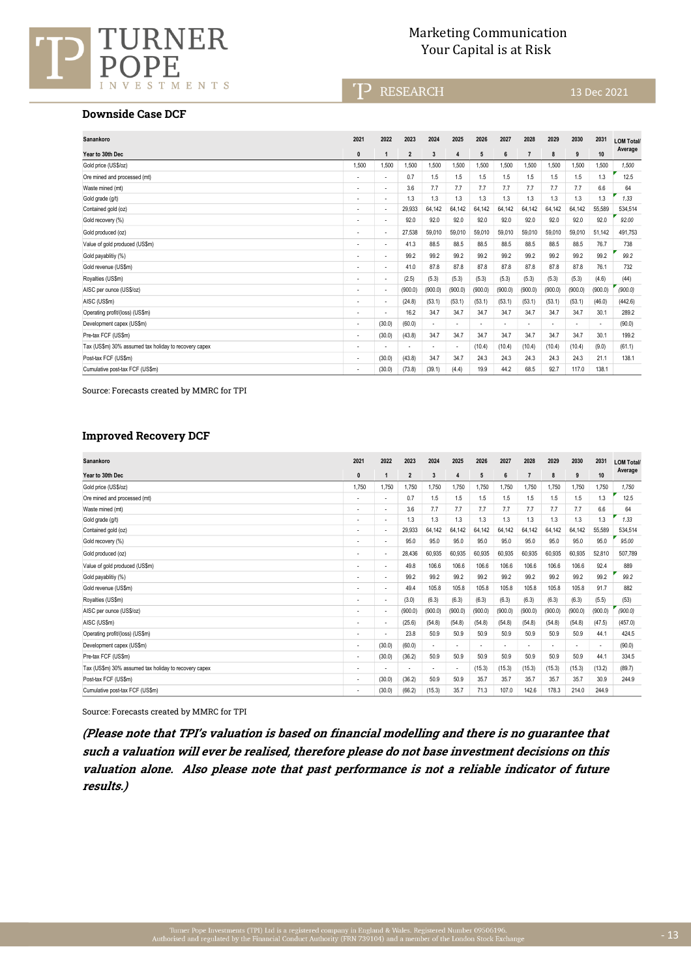

## Marketing Communication URNER Marketing Communication<br>Your Capital is at Risk

T<sup>></sup> RESEARCH

#### **Downside Case DCF**

| Sanankoro                                             | 2021                     | 2022           | 2023           | 2024    | 2025                     | 2026           | 2027    | 2028           | 2029                     | 2030                     | 2031                     | <b>LOM Total/</b> |
|-------------------------------------------------------|--------------------------|----------------|----------------|---------|--------------------------|----------------|---------|----------------|--------------------------|--------------------------|--------------------------|-------------------|
| Year to 30th Dec                                      | $\mathbf{0}$             | $\overline{1}$ | $\overline{2}$ | 3       | $\overline{4}$           | 5              | 6       | $\overline{7}$ | 8                        | 9                        | 10                       | Average           |
| Gold price (US\$/oz)                                  | 1.500                    | 1.500          | 1,500          | .500    | 1,500                    | 1.500          | 1,500   | 1,500          | 1,500                    | 1,500                    | 1,500                    | 1.500             |
| Ore mined and processed (mt)                          | $\overline{\phantom{a}}$ | ٠              | 0.7            | 1.5     | 1.5                      | 1.5            | 1.5     | 1.5            | 1.5                      | 1.5                      | 1.3                      | 12.5              |
| Waste mined (mt)                                      |                          | ٠              | 3.6            | 7.7     | 7.7                      | 7.7            | 7.7     | 7.7            | 7.7                      | 7.7                      | 6.6                      | 64                |
| Gold grade (g/t)                                      | $\overline{\phantom{0}}$ | ٠              | 1.3            | 1.3     | 1.3                      | 1.3            | 1.3     | 1.3            | 1.3                      | 1.3                      | 1.3                      | 1.33              |
| Contained gold (oz)                                   | $\overline{\phantom{0}}$ | ٠              | 29.933         | 64.142  | 64.142                   | 64.142         | 64.142  | 64,142         | 64.142                   | 64.142                   | 55.589                   | 534.514           |
| Gold recovery (%)                                     | $\overline{\phantom{a}}$ | ٠              | 92.0           | 92.0    | 92.0                     | 92.0           | 92.0    | 92.0           | 92.0                     | 92.0                     | 92.0                     | 92.00             |
| Gold produced (oz)                                    | $\overline{\phantom{a}}$ | ٠              | 27.538         | 59.010  | 59.010                   | 59,010         | 59.010  | 59,010         | 59.010                   | 59,010                   | 51.142                   | 491.753           |
| Value of gold produced (US\$m)                        | $\overline{\phantom{a}}$ | ٠              | 41.3           | 88.5    | 88.5                     | 88.5           | 88.5    | 88.5           | 88.5                     | 88.5                     | 76.7                     | 738               |
| Gold payablitiy (%)                                   | $\overline{\phantom{0}}$ | ٠              | 99.2           | 99.2    | 99.2                     | 99.2           | 99.2    | 99.2           | 99.2                     | 99.2                     | 99.2                     | 99.2              |
| Gold revenue (US\$m)                                  | $\overline{\phantom{a}}$ | ٠              | 41.0           | 87.8    | 87.8                     | 87.8           | 87.8    | 87.8           | 87.8                     | 87.8                     | 76.1                     | 732               |
| Royalties (US\$m)                                     | $\overline{\phantom{a}}$ | ٠              | (2.5)          | (5.3)   | (5.3)                    | (5.3)          | (5.3)   | (5.3)          | (5.3)                    | (5.3)                    | (4.6)                    | (44)              |
| AISC per ounce (US\$/oz)                              | $\overline{\phantom{a}}$ | ٠              | (900.0)        | (900.0) | (900.0)                  | (900.0)        | (900.0) | (900.0)        | (900.0)                  | (900.0)                  | (900.0)                  | (900.0)           |
| AISC (US\$m)                                          |                          | ٠              | (24.8)         | (53.1)  | (53.1)                   | (53.1)         | (53.1)  | (53.1)         | (53.1)                   | (53.1)                   | (46.0)                   | (442.6)           |
| Operating profit/(loss) (US\$m)                       | $\overline{\phantom{0}}$ | ٠              | 16.2           | 34.7    | 34.7                     | 34.7           | 34.7    | 34.7           | 34.7                     | 34.7                     | 30.1                     | 289.2             |
| Development capex (US\$m)                             | $\overline{\phantom{a}}$ | (30.0)         | (60.0)         |         | $\overline{\phantom{a}}$ | $\blacksquare$ | ٠       |                | $\overline{\phantom{a}}$ | $\overline{\phantom{a}}$ | $\overline{\phantom{a}}$ | (90.0)            |
| Pre-tax FCF (US\$m)                                   | $\overline{\phantom{a}}$ | (30.0)         | (43.8)         | 34.7    | 34.7                     | 34.7           | 34.7    | 34.7           | 34.7                     | 34.7                     | 30.1                     | 199.2             |
| Tax (US\$m) 30% assumed tax holiday to recovery capex |                          | ٠              |                |         | ٠                        | (10.4)         | (10.4)  | (10.4)         | (10.4)                   | (10.4)                   | (9.0)                    | (61.1)            |
| Post-tax FCF (US\$m)                                  | ٠                        | (30.0)         | (43.8)         | 34.7    | 34.7                     | 24.3           | 24.3    | 24.3           | 24.3                     | 24.3                     | 21.1                     | 138.1             |
| Cumulative post-tax FCF (US\$m)                       | $\overline{\phantom{a}}$ | (30.0)         | (73.8)         | (39.1)  | (4.4)                    | 19.9           | 44.2    | 68.5           | 92.7                     | 117.0                    | 138.1                    |                   |

Source: Forecasts created by MMRC for TPI

## **Improved Recovery DCF**

| Sanankoro                                             | 2021                     | 2022           | 2023           | 2024                     | 2025                     | 2026                     | 2027           | 2028           | 2029    | 2030    | 2031                     | <b>LOM Total/</b> |
|-------------------------------------------------------|--------------------------|----------------|----------------|--------------------------|--------------------------|--------------------------|----------------|----------------|---------|---------|--------------------------|-------------------|
| Year to 30th Dec                                      | $\mathbf{0}$             | $\overline{1}$ | $\overline{2}$ | 3                        | 4                        | 5                        | $6\phantom{1}$ | $\overline{7}$ | 8       | 9       | 10                       | Average           |
| Gold price (US\$/oz)                                  | 1,750                    | 1,750          | 1,750          | 1.750                    | 1,750                    | 1,750                    | 1,750          | 1,750          | 1,750   | 1.750   | 1,750                    | 1.750             |
| Ore mined and processed (mt)                          | $\overline{\phantom{a}}$ | ٠              | 0.7            | 1.5                      | 1.5                      | 1.5                      | 1.5            | 1.5            | 1.5     | 1.5     | 1.3                      | 12.5              |
| Waste mined (mt)                                      | $\overline{\phantom{a}}$ | ٠              | 3.6            | 7.7                      | 7.7                      | 7.7                      | 7.7            | 7.7            | 7.7     | 7.7     | 6.6                      | 64                |
| Gold grade (g/t)                                      | $\overline{\phantom{a}}$ | ٠              | 1.3            | 1.3                      | 1.3                      | 1.3                      | 1.3            | 1.3            | 1.3     | 1.3     | 1.3                      | 1.33              |
| Contained gold (oz)                                   |                          | ÷              | 29.933         | 64.142                   | 64.142                   | 64.142                   | 64.142         | 64,142         | 64.142  | 64.142  | 55,589                   | 534.514           |
| Gold recovery (%)                                     | $\overline{\phantom{a}}$ | ٠              | 95.0           | 95.0                     | 95.0                     | 95.0                     | 95.0           | 95.0           | 95.0    | 95.0    | 95.0                     | 95.00             |
| Gold produced (oz)                                    |                          | ٠              | 28.436         | 60,935                   | 60.935                   | 60.935                   | 60.935         | 60,935         | 60.935  | 60.935  | 52.810                   | 507.789           |
| Value of gold produced (US\$m)                        | $\overline{\phantom{a}}$ | ÷              | 49.8           | 106.6                    | 106.6                    | 106.6                    | 106.6          | 106.6          | 106.6   | 106.6   | 92.4                     | 889               |
| Gold payablitiy (%)                                   | $\overline{\phantom{0}}$ | ٠              | 99.2           | 99.2                     | 99.2                     | 99.2                     | 99.2           | 99.2           | 99.2    | 99.2    | 99.2                     | 99.2              |
| Gold revenue (US\$m)                                  | $\overline{\phantom{a}}$ | ٠              | 49.4           | 105.8                    | 105.8                    | 105.8                    | 105.8          | 105.8          | 105.8   | 105.8   | 91.7                     | 882               |
| Royalties (US\$m)                                     |                          | ٠              | (3.0)          | (6.3)                    | (6.3)                    | (6.3)                    | (6.3)          | (6.3)          | (6.3)   | (6.3)   | (5.5)                    | (53)              |
| AISC per ounce (US\$/oz)                              | $\overline{\phantom{a}}$ | ٠              | (900.0)        | (900.0)                  | (900.0)                  | (900.0)                  | (900.0)        | (900.0)        | (900.0) | (900.0) | (900.0)                  | (900.0)           |
| AISC (US\$m)                                          | ٠                        | ٠              | (25.6)         | (54.8)                   | (54.8)                   | (54.8)                   | (54.8)         | (54.8)         | (54.8)  | (54.8)  | (47.5)                   | (457.0)           |
| Operating profit/(loss) (US\$m)                       |                          | $\overline{a}$ | 23.8           | 50.9                     | 50.9                     | 50.9                     | 50.9           | 50.9           | 50.9    | 50.9    | 44.1                     | 424.5             |
| Development capex (US\$m)                             | $\overline{\phantom{a}}$ | (30.0)         | (60.0)         |                          | $\overline{\phantom{a}}$ | $\overline{\phantom{a}}$ | ٠              |                |         |         | $\overline{\phantom{a}}$ | (90.0)            |
| Pre-tax FCF (US\$m)                                   | $\overline{\phantom{a}}$ | (30.0)         | (36.2)         | 50.9                     | 50.9                     | 50.9                     | 50.9           | 50.9           | 50.9    | 50.9    | 44.1                     | 334.5             |
| Tax (US\$m) 30% assumed tax holiday to recovery capex | $\overline{\phantom{0}}$ | ٠              |                | $\overline{\phantom{0}}$ | $\overline{\phantom{a}}$ | (15.3)                   | (15.3)         | (15.3)         | (15.3)  | (15.3)  | (13.2)                   | (89.7)            |
| Post-tax FCF (US\$m)                                  | $\overline{\phantom{a}}$ | (30.0)         | (36.2)         | 50.9                     | 50.9                     | 35.7                     | 35.7           | 35.7           | 35.7    | 35.7    | 30.9                     | 244.9             |
| Cumulative post-tax FCF (US\$m)                       |                          | (30.0)         | (66.2)         | (15.3)                   | 35.7                     | 71.3                     | 107.0          | 142.6          | 178.3   | 214.0   | 244.9                    |                   |

Source: Forecasts created by MMRC for TPI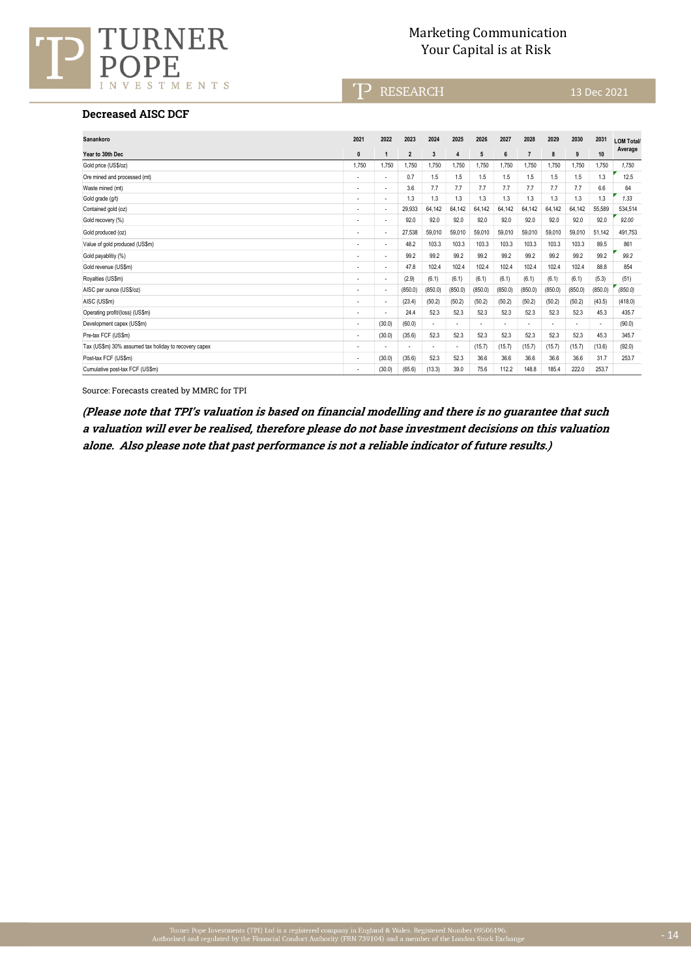

# Marketing Communication URNER Marketing Communication<br>Your Capital is at Risk

TP RESEARCH

13 Dec 2021

#### **Decreased AISC DCF**

| Sanankoro                                             | 2021                     | 2022                     | 2023                     | 2024           | 2025    | 2026                     | 2027           | 2028           | 2029    | 2030    | 2031    | <b>LOM Total/</b> |
|-------------------------------------------------------|--------------------------|--------------------------|--------------------------|----------------|---------|--------------------------|----------------|----------------|---------|---------|---------|-------------------|
| Year to 30th Dec                                      | $\mathbf{0}$             | $\mathbf{1}$             | $\overline{2}$           | $\overline{3}$ | 4       | 5                        | $6\phantom{1}$ | $\overline{7}$ | 8       | 9       | 10      | Average           |
| Gold price (US\$/oz)                                  | 1.750                    | 1.750                    | 1.750                    | 1.750          | 1.750   | 1.750                    | 1.750          | 1.750          | 1.750   | 1.750   | 1.750   | 1.750             |
| Ore mined and processed (mt)                          |                          | ٠                        | 0.7                      | 1.5            | 1.5     | 1.5                      | 1.5            | 1.5            | 1.5     | 1.5     | 1.3     | 12.5              |
| Waste mined (mt)                                      | $\overline{\phantom{a}}$ | ٠                        | 3.6                      | 7.7            | 7.7     | 7.7                      | 7.7            | 7.7            | 7.7     | 7.7     | 6.6     | 64                |
| Gold grade (g/t)                                      | $\overline{\phantom{a}}$ | ٠                        | 1.3                      | 1.3            | 1.3     | 1.3                      | 1.3            | 1.3            | 1.3     | 1.3     | 1.3     | 1.33              |
| Contained gold (oz)                                   | $\overline{\phantom{a}}$ | ٠                        | 29,933                   | 64.142         | 64.142  | 64.142                   | 64,142         | 64,142         | 64.142  | 64,142  | 55.589  | 534.514           |
| Gold recovery (%)                                     | $\overline{\phantom{a}}$ | ٠                        | 92.0                     | 92.0           | 92.0    | 92.0                     | 92.0           | 92.0           | 92.0    | 92.0    | 92.0    | 92.00             |
| Gold produced (oz)                                    |                          | ٠                        | 27.538                   | 59.010         | 59.010  | 59.010                   | 59.010         | 59,010         | 59.010  | 59,010  | 51.142  | 491.753           |
| Value of gold produced (US\$m)                        | $\overline{\phantom{a}}$ | ٠                        | 48.2                     | 103.3          | 103.3   | 103.3                    | 103.3          | 103.3          | 103.3   | 103.3   | 89.5    | 861               |
| Gold payablitiy (%)                                   | $\overline{\phantom{a}}$ | ٠                        | 99.2                     | 99.2           | 99.2    | 99.2                     | 99.2           | 99.2           | 99.2    | 99.2    | 99.2    | 99.2              |
| Gold revenue (US\$m)                                  | $\overline{\phantom{a}}$ | ٠                        | 47.8                     | 102.4          | 102.4   | 102.4                    | 102.4          | 102.4          | 102.4   | 102.4   | 88.8    | 854               |
| Royalties (US\$m)                                     | $\overline{\phantom{a}}$ | ٠                        | (2.9)                    | (6.1)          | (6.1)   | (6.1)                    | (6.1)          | (6.1)          | (6.1)   | (6.1)   | (5.3)   | (51)              |
| AISC per ounce (US\$/oz)                              | $\overline{\phantom{a}}$ | ٠                        | (850.0)                  | (850.0)        | (850.0) | (850.0)                  | (850.0)        | (850.0)        | (850.0) | (850.0) | (850.0) | (850.0)           |
| AISC (US\$m)                                          | $\overline{\phantom{a}}$ | $\overline{\phantom{a}}$ | (23.4)                   | (50.2)         | (50.2)  | (50.2)                   | (50.2)         | (50.2)         | (50.2)  | (50.2)  | (43.5)  | (418.0)           |
| Operating profit/(loss) (US\$m)                       | $\overline{\phantom{a}}$ | ٠                        | 24.4                     | 52.3           | 52.3    | 52.3                     | 52.3           | 52.3           | 52.3    | 52.3    | 45.3    | 435.7             |
| Development capex (US\$m)                             | $\overline{\phantom{a}}$ | (30.0)                   | (60.0)                   |                | ٠       | $\overline{\phantom{a}}$ | ٠              | ÷              | ٠       |         | ٠       | (90.0)            |
| Pre-tax FCF (US\$m)                                   | $\overline{\phantom{a}}$ | (30.0)                   | (35.6)                   | 52.3           | 52.3    | 52.3                     | 52.3           | 52.3           | 52.3    | 52.3    | 45.3    | 345.7             |
| Tax (US\$m) 30% assumed tax holiday to recovery capex | $\overline{\phantom{a}}$ |                          | $\overline{\phantom{a}}$ | ٠              | ٠       | (15.7)                   | (15.7)         | (15.7)         | (15.7)  | (15.7)  | (13.6)  | (92.0)            |
| Post-tax FCF (US\$m)                                  | $\overline{\phantom{a}}$ | (30.0)                   | (35.6)                   | 52.3           | 52.3    | 36.6                     | 36.6           | 36.6           | 36.6    | 36.6    | 31.7    | 253.7             |
| Cumulative post-tax FCF (US\$m)                       | $\overline{\phantom{a}}$ | (30.0)                   | (65.6)                   | (13.3)         | 39.0    | 75.6                     | 112.2          | 148.8          | 185.4   | 222.0   | 253.7   |                   |

Source: Forecasts created by MMRC for TPI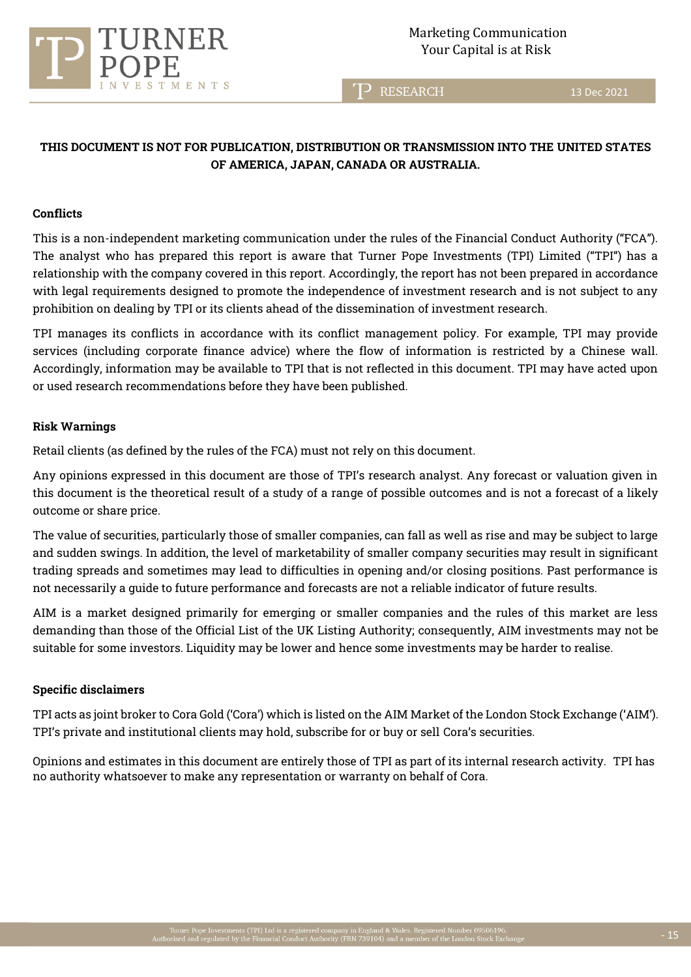

T<sup>2</sup> RESEARCH

13 Dec 2021

# **THIS DOCUMENT IS NOT FOR PUBLICATION, DISTRIBUTION OR TRANSMISSION INTO THE UNITED STATES OF AMERICA, JAPAN, CANADA OR AUSTRALIA.**

#### **Conflicts**

This is a non-independent marketing communication under the rules of the Financial Conduct Authority ("FCA"). The analyst who has prepared this report is aware that Turner Pope Investments (TPI) Limited ("TPI") has a relationship with the company covered in this report. Accordingly, the report has not been prepared in accordance with legal requirements designed to promote the independence of investment research and is not subject to any prohibition on dealing by TPI or its clients ahead of the dissemination of investment research.

TPI manages its conflicts in accordance with its conflict management policy. For example, TPI may provide services (including corporate finance advice) where the flow of information is restricted by a Chinese wall. Accordingly, information may be available to TPI that is not reflected in this document. TPI may have acted upon or used research recommendations before they have been published.

#### **Risk Warnings**

Retail clients (as defined by the rules of the FCA) must not rely on this document.

Any opinions expressed in this document are those of TPI's research analyst. Any forecast or valuation given in this document is the theoretical result of a study of a range of possible outcomes and is not a forecast of a likely outcome or share price.

The value of securities, particularly those of smaller companies, can fall as well as rise and may be subject to large and sudden swings. In addition, the level of marketability of smaller company securities may result in significant trading spreads and sometimes may lead to difficulties in opening and/or closing positions. Past performance is not necessarily a guide to future performance and forecasts are not a reliable indicator of future results.

AIM is a market designed primarily for emerging or smaller companies and the rules of this market are less demanding than those of the Official List of the UK Listing Authority; consequently, AIM investments may not be suitable for some investors. Liquidity may be lower and hence some investments may be harder to realise.

## **Specific disclaimers**

TPI acts as joint broker to Cora Gold ('Cora') which is listed on the AIM Market of the London Stock Exchange ('AIM'). TPI's private and institutional clients may hold, subscribe for or buy or sell Cora's securities.

Opinions and estimates in this document are entirely those of TPI as part of its internal research activity. TPI has no authority whatsoever to make any representation or warranty on behalf of Cora.